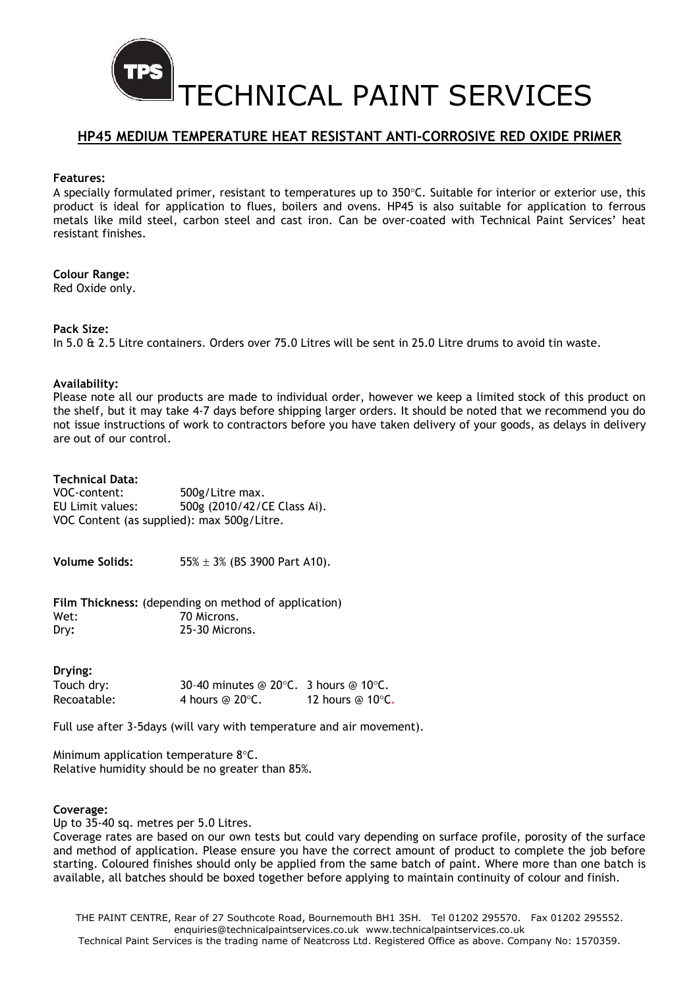

## HP45 MEDIUM TEMPERATURE HEAT RESISTANT ANTI-CORROSIVE RED OXIDE PRIMER

#### Features:

A specially formulated primer, resistant to temperatures up to  $350^{\circ}$ C. Suitable for interior or exterior use, this product is ideal for application to flues, boilers and ovens. HP45 is also suitable for application to ferrous metals like mild steel, carbon steel and cast iron. Can be over-coated with Technical Paint Services' heat resistant finishes.

## Colour Range:

Red Oxide only.

## Pack Size:

In 5.0 & 2.5 Litre containers. Orders over 75.0 Litres will be sent in 25.0 Litre drums to avoid tin waste.

## Availability:

Please note all our products are made to individual order, however we keep a limited stock of this product on the shelf, but it may take 4-7 days before shipping larger orders. It should be noted that we recommend you do not issue instructions of work to contractors before you have taken delivery of your goods, as delays in delivery are out of our control.

## Technical Data:

| VOC-content:                               | 500g/Litre max.             |
|--------------------------------------------|-----------------------------|
| EU Limit values:                           | 500g (2010/42/CE Class Ai). |
| VOC Content (as supplied): max 500g/Litre. |                             |

**Volume Solids:**  $55\% \pm 3\%$  (BS 3900 Part A10).

Film Thickness: (depending on method of application) Wet: 70 Microns. Dry: 25-30 Microns.

## Drying:

| Touch dry:  | 30-40 minutes @ 20 $\degree$ C. 3 hours @ 10 $\degree$ C. |                            |
|-------------|-----------------------------------------------------------|----------------------------|
| Recoatable: | 4 hours @ $20^{\circ}$ C.                                 | 12 hours @ 10 $\degree$ C. |

Full use after 3-5days (will vary with temperature and air movement).

Minimum application temperature  $8^{\circ}$ C. Relative humidity should be no greater than 85%.

#### Coverage:

Up to 35-40 sq. metres per 5.0 Litres.

Coverage rates are based on our own tests but could vary depending on surface profile, porosity of the surface and method of application. Please ensure you have the correct amount of product to complete the job before starting. Coloured finishes should only be applied from the same batch of paint. Where more than one batch is available, all batches should be boxed together before applying to maintain continuity of colour and finish.